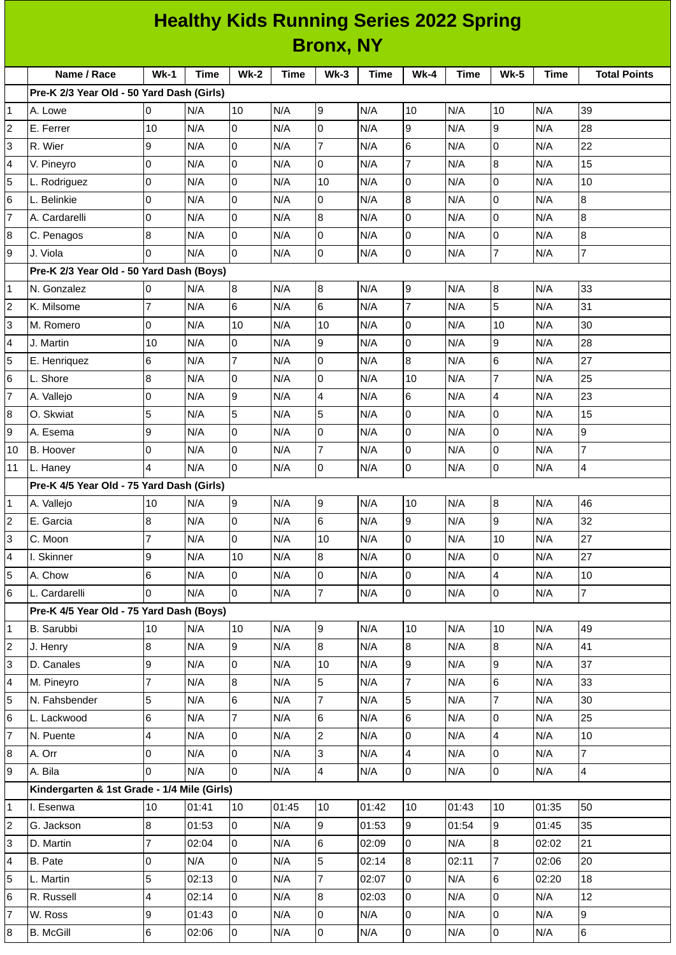|                     |                                             |                 |             |                                  |             |                          | <b>Healthy Kids Running Series 2022 Spring</b> |                 |             |                          |             |                     |
|---------------------|---------------------------------------------|-----------------|-------------|----------------------------------|-------------|--------------------------|------------------------------------------------|-----------------|-------------|--------------------------|-------------|---------------------|
| <b>Bronx, NY</b>    |                                             |                 |             |                                  |             |                          |                                                |                 |             |                          |             |                     |
|                     | Name / Race                                 | $Wk-1$          | <b>Time</b> | <b>Wk-2</b>                      | <b>Time</b> | $Wk-3$                   | Time                                           | <b>Wk-4</b>     | <b>Time</b> | <b>Wk-5</b>              | <b>Time</b> | <b>Total Points</b> |
|                     | Pre-K 2/3 Year Old - 50 Yard Dash (Girls)   |                 |             |                                  |             |                          |                                                |                 |             |                          |             |                     |
| 1                   | A. Lowe                                     | 0               | N/A         | 10                               | N/A         | 9                        | N/A                                            | 10              | N/A         | 10                       | N/A         | 39                  |
| 2                   | E. Ferrer                                   | 10              | N/A         | 0                                | N/A         | 0                        | N/A                                            | 9               | N/A         | 9                        | N/A         | 28                  |
| 3                   | R. Wier                                     | 9               | N/A         | $\overline{0}$                   | N/A         | $\overline{7}$           | N/A                                            | $\,6$           | N/A         | l0                       | N/A         | 22                  |
| 4                   | V. Pineyro                                  | 0               | N/A         | 0                                | N/A         | 0                        | N/A                                            | $\overline{7}$  | N/A         | 8                        | N/A         | 15                  |
| 5                   | L. Rodriguez                                | $\overline{0}$  | N/A         | 0                                | N/A         | 10                       | N/A                                            | 0               | N/A         | l0                       | N/A         | 10                  |
| 6                   | L. Belinkie                                 | 0               | N/A         | 0                                | N/A         | $\mathbf 0$              | N/A                                            | 8               | N/A         | l0                       | N/A         | 8                   |
| $\overline{7}$      | A. Cardarelli                               | 0               | N/A         | 0                                | N/A         | 8                        | N/A                                            | 0               | N/A         | 0                        | N/A         | 8                   |
| 8                   | C. Penagos                                  | 8               | N/A         | 0                                | N/A         | $\mathbf 0$              | N/A                                            | O               | N/A         | l0                       | N/A         | 8                   |
| 9                   | J. Viola                                    | 0               | N/A         | 0                                | N/A         | $\overline{0}$           | N/A                                            | Iо              | N/A         | $\overline{7}$           | N/A         | $\overline{7}$      |
|                     | Pre-K 2/3 Year Old - 50 Yard Dash (Boys)    |                 |             |                                  |             |                          |                                                |                 |             |                          |             |                     |
| $\mathbf 1$         | N. Gonzalez                                 | $\overline{0}$  | N/A         | $8\,$                            | N/A         | $\overline{8}$           | N/A                                            | 9               | N/A         | 8                        | N/A         | 33                  |
| $\overline{c}$      | K. Milsome                                  | 7               | N/A         | 6                                | N/A         | $6\phantom{.}6$          | N/A                                            | $\overline{7}$  | N/A         | 5                        | N/A         | 31                  |
| 3                   | M. Romero                                   | 0               | N/A         | 10                               | N/A         | 10                       | N/A                                            | $\overline{0}$  | N/A         | 10                       | N/A         | 30                  |
| 4                   | J. Martin                                   | 10              | N/A         | $\overline{0}$                   | N/A         | 9                        | N/A                                            | Iо              | N/A         | 9                        | N/A         | 28                  |
| 5                   | E. Henriquez                                | 6               | N/A         | $\overline{7}$                   | N/A         | 0                        | N/A                                            | $\overline{8}$  | N/A         | $\,6$                    | N/A         | 27                  |
| 6                   | L. Shore                                    | 8               | N/A         | 0                                | N/A         | 0                        | N/A                                            | 10              | N/A         | $\overline{7}$           | N/A         | 25                  |
| $\overline{7}$      | A. Vallejo                                  | 0               | N/A         | 9                                | N/A         | $\overline{\mathcal{L}}$ | N/A                                            | $6\phantom{.}6$ | N/A         | $\overline{\mathcal{L}}$ | N/A         | 23                  |
| 8                   | O. Skwiat                                   | 5               | N/A         | 5                                | N/A         | 5                        | N/A                                            | 0               | N/A         | 0                        | N/A         | 15                  |
| 9                   | A. Esema                                    | 9               | N/A         | $\overline{0}$                   | N/A         | $\mathsf 0$              | N/A                                            | Iо              | N/A         | l0                       | N/A         | 9                   |
| 10                  | <b>B.</b> Hoover                            | 0               | N/A         | 0                                | N/A         | $\overline{7}$           | N/A                                            | Iо              | N/A         | l0                       | N/A         | $\overline{7}$      |
| 11                  | L. Haney                                    | 4               | N/A         | $\overline{0}$                   | N/A         | 0                        | N/A                                            | l0              | N/A         | lo                       | N/A         | 4                   |
|                     | Pre-K 4/5 Year Old - 75 Yard Dash (Girls)   |                 |             |                                  |             |                          |                                                |                 |             |                          |             |                     |
| 1                   | A. Vallejo                                  | 10              | N/A         | 9                                | N/A         | 9                        | N/A                                            | 10              | N/A         | 8                        | N/A         | 46                  |
| 2                   | E. Garcia                                   | $\bf{8}$        | N/A         | $\overline{0}$                   | N/A         | $6\phantom{.}$           | N/A                                            | 9               | N/A         | 9                        | N/A         | 32                  |
| 3                   | C. Moon                                     | 7               | N/A         | $\overline{0}$                   | N/A         | 10                       | N/A                                            | O               | N/A         | 10                       | N/A         | 27                  |
| 4                   | I. Skinner                                  | 9               | N/A         | 10                               | N/A         | $\bf{8}$                 | N/A                                            | O               | N/A         | 0                        | N/A         | 27                  |
| 5                   | A. Chow                                     | 6               | N/A         | $\mathbf 0$                      | N/A         | 0                        | N/A                                            | $\overline{0}$  | N/A         | $\overline{\mathbf{4}}$  | N/A         | 10                  |
| 6                   | L. Cardarelli                               | 0               | N/A         | $\overline{0}$                   | N/A         | $\overline{7}$           | N/A                                            | l0              | N/A         | 0                        | N/A         | $\overline{7}$      |
|                     | Pre-K 4/5 Year Old - 75 Yard Dash (Boys)    |                 |             |                                  |             |                          |                                                |                 |             |                          |             |                     |
| $\mathbf 1$         | B. Sarubbi                                  | 10              | N/A         | 10                               | N/A         | 9                        | N/A                                            | 10              | N/A         | 10                       | N/A         | 49                  |
| 2                   | J. Henry                                    | 8               | N/A         | 9                                | N/A         | 8                        | N/A                                            | $\overline{8}$  | N/A         | $\overline{8}$           | N/A         | 41                  |
| 3                   | D. Canales                                  | 9               | N/A         | $\overline{0}$                   | N/A         | 10                       | N/A                                            | g               | N/A         | 9                        | N/A         | 37                  |
| 4                   | M. Pineyro                                  | 7               | N/A         | $8\,$                            | N/A         | 5                        | N/A                                            | $\overline{7}$  | N/A         | $\,6$                    | N/A         | 33                  |
| 5                   | N. Fahsbender                               | 5               | N/A         | 6                                | N/A         | 7                        | N/A                                            | 5               | N/A         | $\overline{7}$           | N/A         | 30                  |
|                     | L. Lackwood                                 | 6               | N/A         | $\overline{7}$                   | N/A         | 6                        | N/A                                            | $\,6$           | N/A         | lo                       | N/A         | 25                  |
| 6<br>$\overline{7}$ | N. Puente                                   |                 | N/A         | $\overline{0}$                   | N/A         | $\overline{c}$           | N/A                                            | Iо              | N/A         | $\overline{\mathcal{L}}$ | N/A         | 10                  |
|                     |                                             | 4               |             |                                  |             |                          |                                                |                 |             |                          |             | $\overline{7}$      |
| 8                   | A. Orr                                      | 0               | N/A         | $\overline{0}$<br>$\overline{0}$ | N/A         | 3                        | N/A                                            | $\pmb{4}$       | N/A         | $\mathsf 0$              | N/A         |                     |
| 9                   | A. Bila                                     | 0               | N/A         |                                  | N/A         | $\overline{\mathbf{4}}$  | N/A                                            | <b>O</b>        | N/A         | lo                       | N/A         | 4                   |
|                     | Kindergarten & 1st Grade - 1/4 Mile (Girls) |                 |             |                                  |             |                          |                                                |                 |             |                          |             |                     |
| 1                   | I. Esenwa                                   | 10              | 01:41       | 10                               | 01:45       | 10                       | 01:42                                          | 10              | 01:43       | 10                       | 01:35       | 50                  |
| 2                   | G. Jackson                                  | $\bf{8}$        | 01:53       | 0                                | N/A         | 9                        | 01:53                                          | 9               | 01:54       | 9                        | 01:45       | 35                  |
| 3                   | D. Martin                                   | $\overline{7}$  | 02:04       | $\mathsf{O}$                     | N/A         | 6                        | 02:09                                          | 0               | N/A         | 8                        | 02:02       | 21                  |
| 4                   | B. Pate                                     | 0               | N/A         | $\overline{0}$                   | N/A         | 5                        | 02:14                                          | $\overline{8}$  | 02:11       | $\overline{7}$           | 02:06       | 20                  |
| 5                   | L. Martin                                   | 5               | 02:13       | $\overline{0}$                   | N/A         | 7                        | 02:07                                          | l0              | N/A         | $\,6$                    | 02:20       | 18                  |
| 6                   | R. Russell                                  | 4               | 02:14       | 0                                | N/A         | 8                        | 02:03                                          | 0               | N/A         | 0                        | N/A         | 12                  |
| $\overline{7}$      | W. Ross                                     | 9               | 01:43       | $\mathsf{O}\xspace$              | N/A         | $\mathsf 0$              | N/A                                            | l0              | N/A         | 0                        | N/A         | 9                   |
| 8                   | <b>B.</b> McGill                            | $6\overline{6}$ | 02:06       | $\overline{0}$                   | N/A         | $\mathbf 0$              | N/A                                            | $\overline{0}$  | N/A         | $\overline{0}$           | N/A         | $6\phantom{a}$      |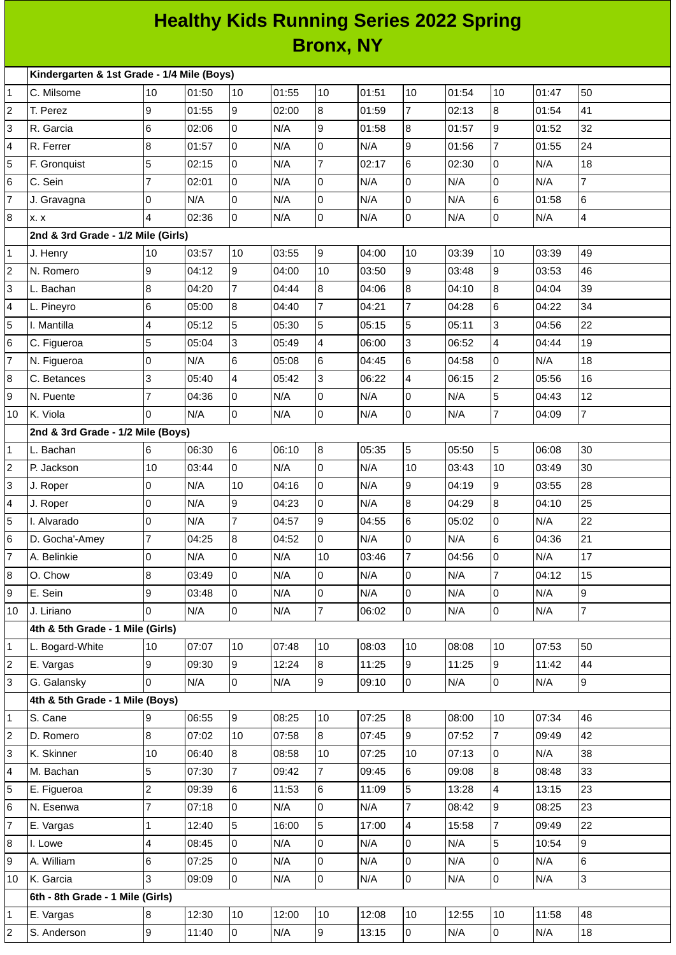## **Healthy Kids Running Series 2022 Spring Bronx, NY**

| Kindergarten & 1st Grade - 1/4 Mile (Boys) |                                    |                |       |                |       |                |       |                 |       |                          |       |                          |
|--------------------------------------------|------------------------------------|----------------|-------|----------------|-------|----------------|-------|-----------------|-------|--------------------------|-------|--------------------------|
| 1                                          | C. Milsome                         | 10             | 01:50 | 10             | 01:55 | 10             | 01:51 | 10              | 01:54 | 10                       | 01:47 | 50                       |
| 2                                          | T. Perez                           | 9              | 01:55 | 9              | 02:00 | 8              | 01:59 | $\overline{7}$  | 02:13 | $\bf{8}$                 | 01:54 | 41                       |
| 3                                          | R. Garcia                          | 6              | 02:06 | 0              | N/A   | 9              | 01:58 | 8               | 01:57 | 9                        | 01:52 | 32                       |
| 4                                          | R. Ferrer                          | 8              | 01:57 | 0              | N/A   | 0              | N/A   | 9               | 01:56 | $\overline{7}$           | 01:55 | 24                       |
| 5                                          | F. Gronquist                       | 5              | 02:15 | $\overline{0}$ | N/A   | $\overline{7}$ | 02:17 | $6\overline{6}$ | 02:30 | $\overline{0}$           | N/A   | 18                       |
| 6                                          | C. Sein                            | $\overline{7}$ | 02:01 | $\overline{0}$ | N/A   | 0              | N/A   | 0               | N/A   | $\overline{0}$           | N/A   | $\overline{7}$           |
| 7                                          | J. Gravagna                        | 0              | N/A   | $\pmb{0}$      | N/A   | 0              | N/A   | l0              | N/A   | $\,6$                    | 01:58 | 6                        |
| 8                                          | <b>x. x</b>                        | 4              | 02:36 | $\overline{0}$ | N/A   | 0              | N/A   | lo              | N/A   | $\overline{0}$           | N/A   | $\overline{\mathcal{L}}$ |
|                                            | 2nd & 3rd Grade - 1/2 Mile (Girls) |                |       |                |       |                |       |                 |       |                          |       |                          |
| 1                                          | J. Henry                           | 10             | 03:57 | 10             | 03:55 | 9              | 04:00 | 10              | 03:39 | 10                       | 03:39 | 49                       |
| 2                                          | N. Romero                          | 9              | 04:12 | 9              | 04:00 | 10             | 03:50 | l9              | 03:48 | 9                        | 03:53 | 46                       |
| 3                                          | L. Bachan                          | 8              | 04:20 | $\overline{7}$ | 04:44 | 8              | 04:06 | 8               | 04:10 | $\bf{8}$                 | 04:04 | 39                       |
| 4                                          | L. Pineyro                         | 6              | 05:00 | 8              | 04:40 | $\overline{7}$ | 04:21 | $\overline{7}$  | 04:28 | $\,6$                    | 04:22 | 34                       |
| 5                                          | I. Mantilla                        | 4              | 05:12 | 5              | 05:30 | 5              | 05:15 | 5               | 05:11 | $\overline{3}$           | 04:56 | 22                       |
| 6                                          | C. Figueroa                        | 5              | 05:04 | 3              | 05:49 | 4              | 06:00 | 3               | 06:52 | 4                        | 04:44 | 19                       |
| 7                                          | N. Figueroa                        | 0              | N/A   | $\,6$          | 05:08 | 6              | 04:45 | 6               | 04:58 | 0                        | N/A   | 18                       |
| 8                                          | C. Betances                        | 3              | 05:40 | 4              | 05:42 | 3              | 06:22 | $\overline{4}$  | 06:15 | $\overline{c}$           | 05:56 | 16                       |
| 9                                          | N. Puente                          | $\overline{7}$ | 04:36 | 0              | N/A   | 0              | N/A   | $\mathsf{O}$    | N/A   | 5                        | 04:43 | 12                       |
| 10                                         | K. Viola                           | $\Omega$       | N/A   | 0              | N/A   | 0              | N/A   | lo              | N/A   | $\overline{7}$           | 04:09 | $\overline{7}$           |
|                                            | 2nd & 3rd Grade - 1/2 Mile (Boys)  |                |       |                |       |                |       |                 |       |                          |       |                          |
| 1                                          | L. Bachan                          | 6              | 06:30 | $6\phantom{a}$ | 06:10 | $\bf{8}$       | 05:35 | 5               | 05:50 | 5                        | 06:08 | 30                       |
| $\overline{c}$                             | P. Jackson                         | 10             | 03:44 | $\overline{0}$ | N/A   | 0              | N/A   | 10              | 03:43 | 10                       | 03:49 | 30                       |
| 3                                          | J. Roper                           | O              | N/A   | 10             | 04:16 | 0              | N/A   | 9               | 04:19 | $\overline{9}$           | 03:55 | 28                       |
| 4                                          | J. Roper                           | $\overline{0}$ | N/A   | 9              | 04:23 | 0              | N/A   | $\overline{8}$  | 04:29 | $\overline{8}$           | 04:10 | 25                       |
| 5                                          | I. Alvarado                        | 0              | N/A   | $\overline{7}$ | 04:57 | 9              | 04:55 | 6               | 05:02 | $\overline{0}$           | N/A   | 22                       |
| 6                                          | D. Gocha'-Amey                     | $\overline{7}$ | 04:25 | 8              | 04:52 | 0              | N/A   | lo              | N/A   | $\,6$                    | 04:36 | 21                       |
| $\overline{7}$                             | A. Belinkie                        | 0              | N/A   | $\overline{0}$ | N/A   | 10             | 03:46 | $\overline{7}$  | 04:56 | $\mathsf 0$              | N/A   | 17                       |
| 8                                          | O. Chow                            | 8              | 03:49 | 0              | N/A   | 0              | N/A   | l0              | N/A   | $\overline{7}$           | 04:12 | 15                       |
| 9                                          | E. Sein                            | 9              | 03:48 | 0              | N/A   | 0              | N/A   | $\overline{0}$  | N/A   | $\overline{0}$           | N/A   | 9                        |
| 10                                         | J. Liriano                         | $\Omega$       | N/A   | l O            | N/A   | $\overline{7}$ | 06:02 | l0              | N/A   | $\overline{0}$           | N/A   | $\overline{7}$           |
|                                            | 4th & 5th Grade - 1 Mile (Girls)   |                |       |                |       |                |       |                 |       |                          |       |                          |
| 1                                          | L. Bogard-White                    | 10             | 07:07 | 10             | 07:48 | 10             | 08:03 | 10              | 08:08 | 10                       | 07:53 | 50                       |
| 2                                          | E. Vargas                          | 9              | 09:30 | $\overline{9}$ | 12:24 | 8              | 11:25 | 9               | 11:25 | 9                        | 11:42 | 44                       |
| 3                                          | G. Galansky                        | $\Omega$       | N/A   | $\overline{0}$ | N/A   | 9              | 09:10 | $\overline{0}$  | N/A   | $\overline{0}$           | N/A   | 9                        |
|                                            | 4th & 5th Grade - 1 Mile (Boys)    |                |       |                |       |                |       |                 |       |                          |       |                          |
| 1                                          | S. Cane                            | 9              | 06:55 | 9              | 08:25 | 10             | 07:25 | 8               | 08:00 | 10                       | 07:34 | 46                       |
| 2                                          | D. Romero                          | $8\,$          | 07:02 | 10             | 07:58 | 8              | 07:45 | 9               | 07:52 | $\overline{7}$           | 09:49 | 42                       |
| 3                                          | K. Skinner                         | 10             | 06:40 | 8              | 08:58 | 10             | 07:25 | 10              | 07:13 | O                        | N/A   | 38                       |
| 4                                          | M. Bachan                          | 5              | 07:30 | 7              | 09:42 | $\overline{7}$ | 09:45 | 6               | 09:08 | $\bf{8}$                 | 08:48 | 33                       |
| 5                                          | E. Figueroa                        | $\overline{c}$ | 09:39 | 6              | 11:53 | 6              | 11:09 | 5               | 13:28 | $\overline{\mathcal{A}}$ | 13:15 | 23                       |
| 6                                          | N. Esenwa                          | $\overline{7}$ | 07:18 | $\overline{0}$ | N/A   | 0              | N/A   | $\overline{7}$  | 08:42 | $\overline{9}$           | 08:25 | 23                       |
| 7                                          | E. Vargas                          | 1              | 12:40 | 5              | 16:00 | 5              | 17:00 | $\overline{4}$  | 15:58 | $\overline{7}$           | 09:49 | 22                       |
| 8                                          | I. Lowe                            | 4              | 08:45 | $\overline{0}$ | N/A   | 0              | N/A   | l0              | N/A   | 5                        | 10:54 | 9                        |
| 9                                          | A. William                         | 6              | 07:25 | $\overline{0}$ | N/A   | 0              | N/A   | 0               | N/A   | $\overline{0}$           | N/A   | 6                        |
| 10                                         | K. Garcia                          | 3              | 09:09 | O              | N/A   | 0              | N/A   | $\overline{0}$  | N/A   | $\overline{0}$           | N/A   | 3                        |
|                                            | 6th - 8th Grade - 1 Mile (Girls)   |                |       |                |       |                |       |                 |       |                          |       |                          |
| 1                                          | E. Vargas                          | 8              | 12:30 | 10             | 12:00 | 10             | 12:08 | 10              | 12:55 | 10                       | 11:58 | 48                       |
| 2                                          | S. Anderson                        | 9              | 11:40 | $\overline{0}$ | N/A   | 9              | 13:15 | O               | N/A   | $\overline{0}$           | N/A   | 18                       |